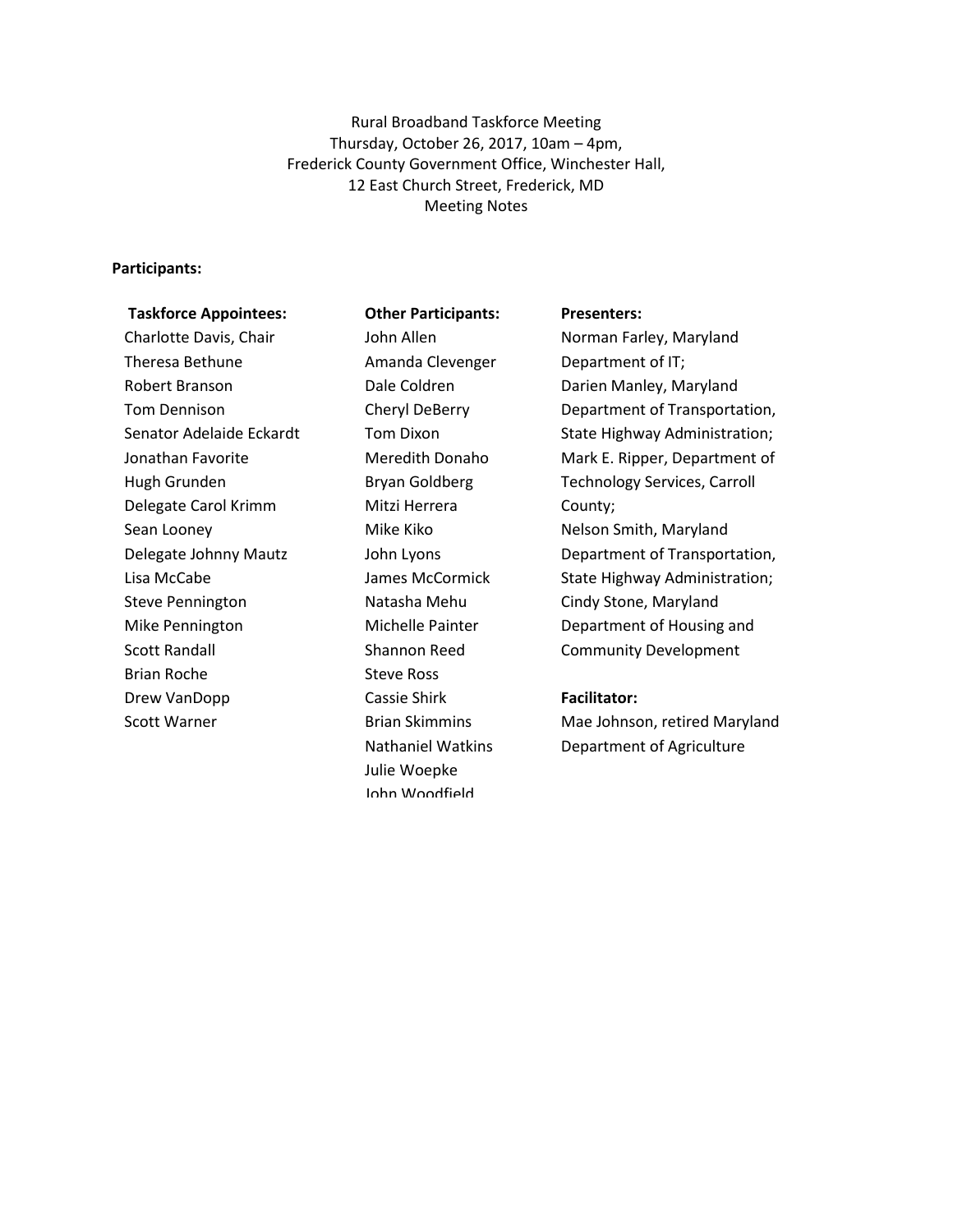Rural Broadband Taskforce Meeting Thursday, October 26, 2017, 10am – 4pm, Frederick County Government Office, Winchester Hall, 12 East Church Street, Frederick, MD Meeting Notes

#### **Participants:**

# **Taskforce Appointees:**

Charlotte Davis, Chair Theresa Bethune Robert Branson Tom Dennison Senator Adelaide Eckardt Jonathan Favorite Hugh Grunden Delegate Carol Krimm Sean Looney Delegate Johnny Mautz Lisa McCabe Steve Pennington Mike Pennington Scott Randall Brian Roche Drew VanDopp Scott Warner

**Other Participants:** John Allen Amanda Clevenger Dale Coldren Cheryl DeBerry Tom Dixon Meredith Donaho Bryan Goldberg Mitzi Herrera Mike Kiko John Lyons James McCormick Natasha Mehu Michelle Painter Shannon Reed Steve Ross Cassie Shirk Brian Skimmins Nathaniel Watkins Julie Woepke John Woodfield

#### **Presenters:**

Norman Farley, Maryland Department of IT; Darien Manley, Maryland Department of Transportation, State Highway Administration; Mark E. Ripper, Department of Technology Services, Carroll County; Nelson Smith, Maryland Department of Transportation, State Highway Administration; Cindy Stone, Maryland Department of Housing and Community Development

#### **Facilitator:**

Mae Johnson, retired Maryland Department of Agriculture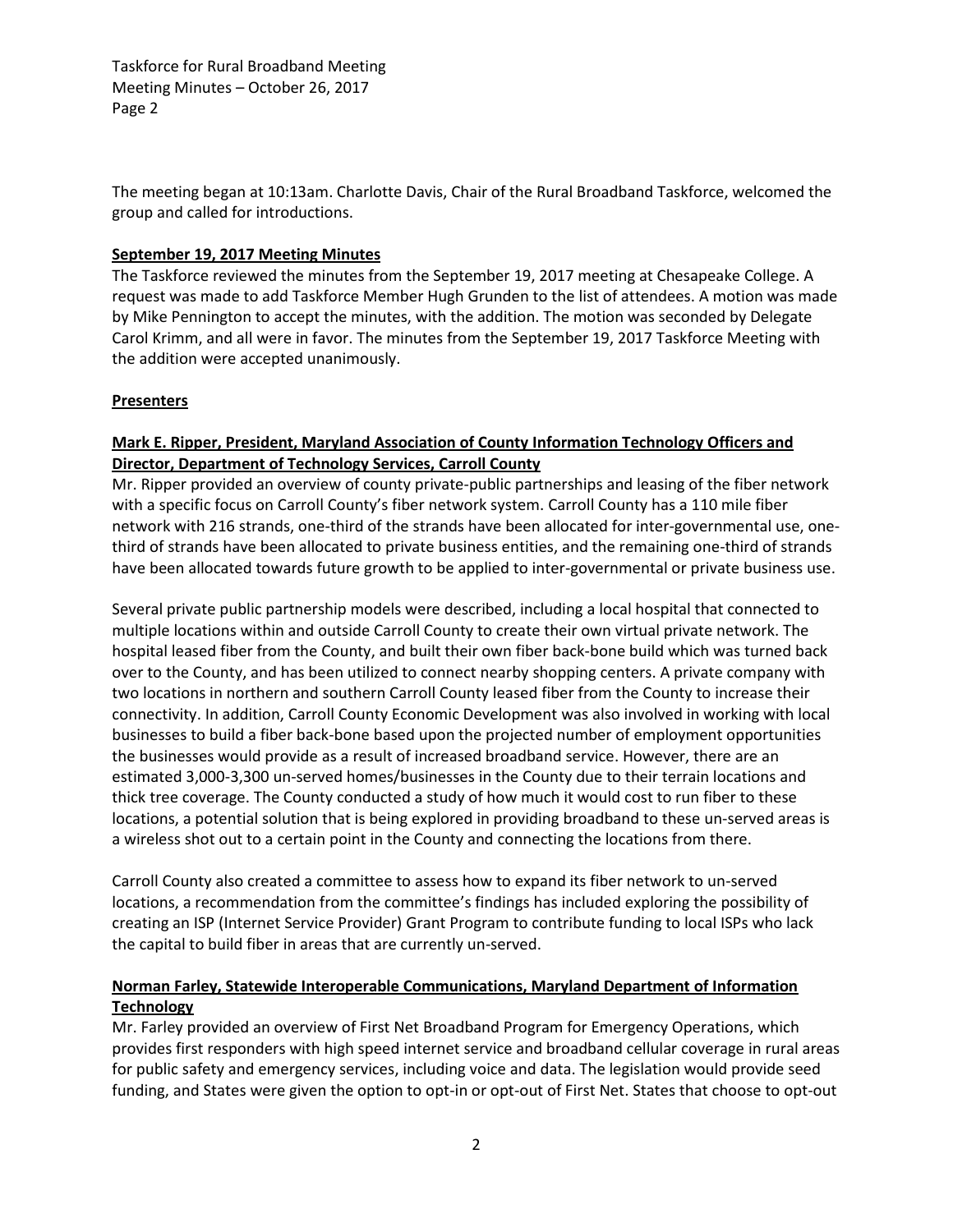The meeting began at 10:13am. Charlotte Davis, Chair of the Rural Broadband Taskforce, welcomed the group and called for introductions.

#### **September 19, 2017 Meeting Minutes**

The Taskforce reviewed the minutes from the September 19, 2017 meeting at Chesapeake College. A request was made to add Taskforce Member Hugh Grunden to the list of attendees. A motion was made by Mike Pennington to accept the minutes, with the addition. The motion was seconded by Delegate Carol Krimm, and all were in favor. The minutes from the September 19, 2017 Taskforce Meeting with the addition were accepted unanimously.

#### **Presenters**

### **Mark E. Ripper, President, Maryland Association of County Information Technology Officers and Director, Department of Technology Services, Carroll County**

Mr. Ripper provided an overview of county private-public partnerships and leasing of the fiber network with a specific focus on Carroll County's fiber network system. Carroll County has a 110 mile fiber network with 216 strands, one-third of the strands have been allocated for inter-governmental use, onethird of strands have been allocated to private business entities, and the remaining one-third of strands have been allocated towards future growth to be applied to inter-governmental or private business use.

Several private public partnership models were described, including a local hospital that connected to multiple locations within and outside Carroll County to create their own virtual private network. The hospital leased fiber from the County, and built their own fiber back-bone build which was turned back over to the County, and has been utilized to connect nearby shopping centers. A private company with two locations in northern and southern Carroll County leased fiber from the County to increase their connectivity. In addition, Carroll County Economic Development was also involved in working with local businesses to build a fiber back-bone based upon the projected number of employment opportunities the businesses would provide as a result of increased broadband service. However, there are an estimated 3,000-3,300 un-served homes/businesses in the County due to their terrain locations and thick tree coverage. The County conducted a study of how much it would cost to run fiber to these locations, a potential solution that is being explored in providing broadband to these un-served areas is a wireless shot out to a certain point in the County and connecting the locations from there.

Carroll County also created a committee to assess how to expand its fiber network to un-served locations, a recommendation from the committee's findings has included exploring the possibility of creating an ISP (Internet Service Provider) Grant Program to contribute funding to local ISPs who lack the capital to build fiber in areas that are currently un-served.

#### **Norman Farley, Statewide Interoperable Communications, Maryland Department of Information Technology**

Mr. Farley provided an overview of First Net Broadband Program for Emergency Operations, which provides first responders with high speed internet service and broadband cellular coverage in rural areas for public safety and emergency services, including voice and data. The legislation would provide seed funding, and States were given the option to opt-in or opt-out of First Net. States that choose to opt-out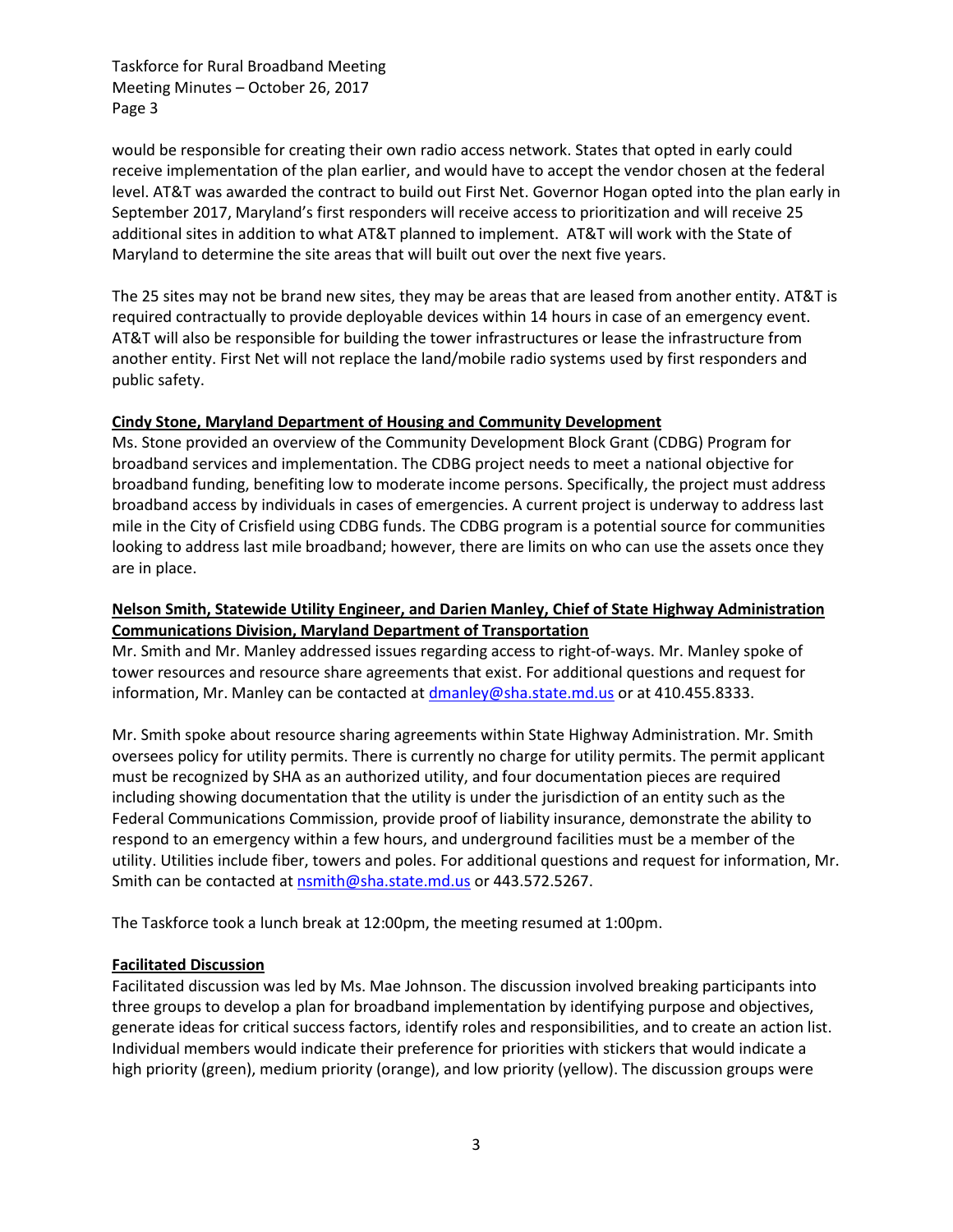would be responsible for creating their own radio access network. States that opted in early could receive implementation of the plan earlier, and would have to accept the vendor chosen at the federal level. AT&T was awarded the contract to build out First Net. Governor Hogan opted into the plan early in September 2017, Maryland's first responders will receive access to prioritization and will receive 25 additional sites in addition to what AT&T planned to implement. AT&T will work with the State of Maryland to determine the site areas that will built out over the next five years.

The 25 sites may not be brand new sites, they may be areas that are leased from another entity. AT&T is required contractually to provide deployable devices within 14 hours in case of an emergency event. AT&T will also be responsible for building the tower infrastructures or lease the infrastructure from another entity. First Net will not replace the land/mobile radio systems used by first responders and public safety.

#### **Cindy Stone, Maryland Department of Housing and Community Development**

Ms. Stone provided an overview of the Community Development Block Grant (CDBG) Program for broadband services and implementation. The CDBG project needs to meet a national objective for broadband funding, benefiting low to moderate income persons. Specifically, the project must address broadband access by individuals in cases of emergencies. A current project is underway to address last mile in the City of Crisfield using CDBG funds. The CDBG program is a potential source for communities looking to address last mile broadband; however, there are limits on who can use the assets once they are in place.

## **Nelson Smith, Statewide Utility Engineer, and Darien Manley, Chief of State Highway Administration Communications Division, Maryland Department of Transportation**

Mr. Smith and Mr. Manley addressed issues regarding access to right-of-ways. Mr. Manley spoke of tower resources and resource share agreements that exist. For additional questions and request for information, Mr. Manley can be contacted a[t dmanley@sha.state.md.us](mailto:dmanley@sha.state.md.us) or at 410.455.8333.

Mr. Smith spoke about resource sharing agreements within State Highway Administration. Mr. Smith oversees policy for utility permits. There is currently no charge for utility permits. The permit applicant must be recognized by SHA as an authorized utility, and four documentation pieces are required including showing documentation that the utility is under the jurisdiction of an entity such as the Federal Communications Commission, provide proof of liability insurance, demonstrate the ability to respond to an emergency within a few hours, and underground facilities must be a member of the utility. Utilities include fiber, towers and poles. For additional questions and request for information, Mr. Smith can be contacted at [nsmith@sha.state.md.us](mailto:nsmith@sha.state.md.us) or 443.572.5267.

The Taskforce took a lunch break at 12:00pm, the meeting resumed at 1:00pm.

#### **Facilitated Discussion**

Facilitated discussion was led by Ms. Mae Johnson. The discussion involved breaking participants into three groups to develop a plan for broadband implementation by identifying purpose and objectives, generate ideas for critical success factors, identify roles and responsibilities, and to create an action list. Individual members would indicate their preference for priorities with stickers that would indicate a high priority (green), medium priority (orange), and low priority (yellow). The discussion groups were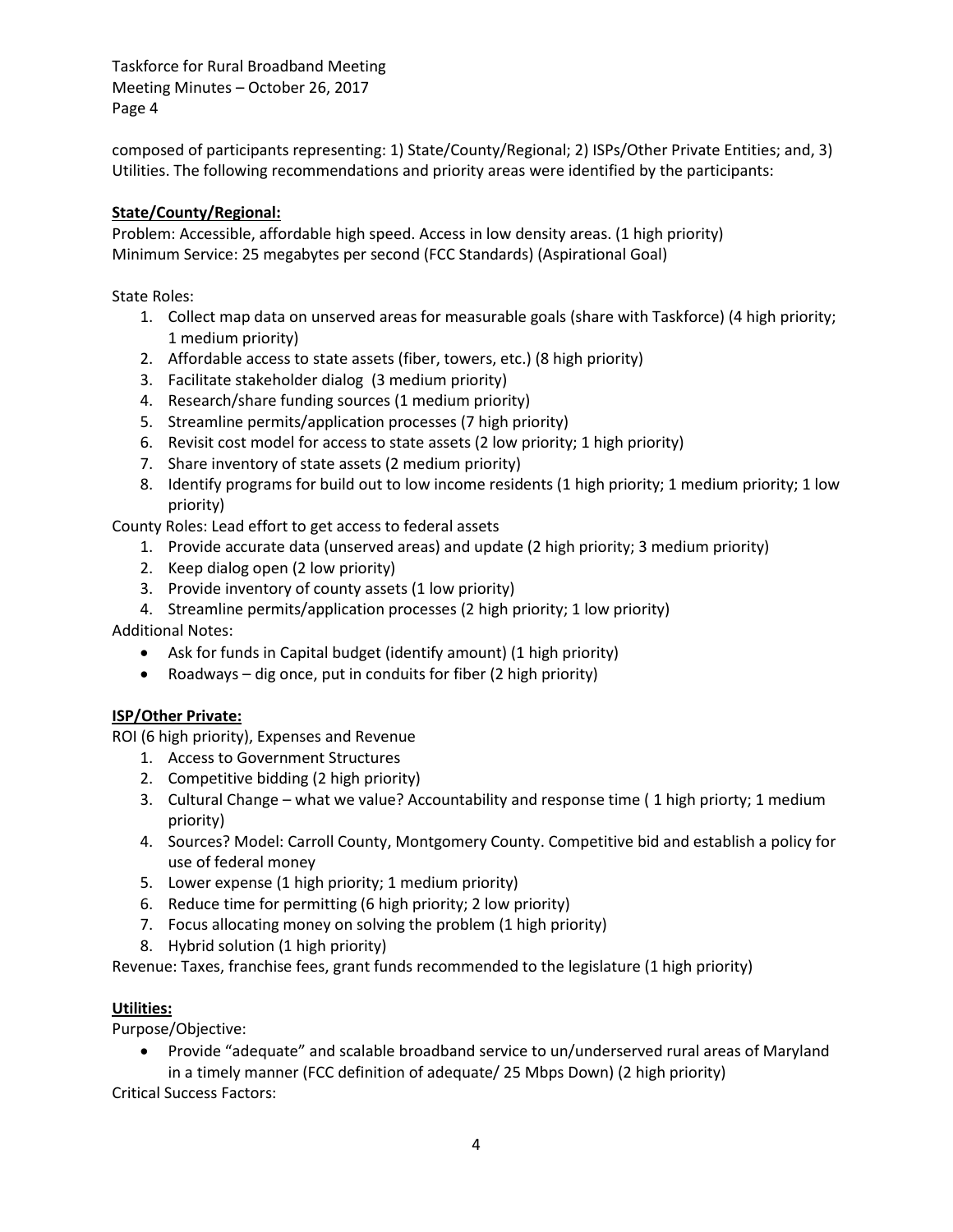composed of participants representing: 1) State/County/Regional; 2) ISPs/Other Private Entities; and, 3) Utilities. The following recommendations and priority areas were identified by the participants:

## **State/County/Regional:**

Problem: Accessible, affordable high speed. Access in low density areas. (1 high priority) Minimum Service: 25 megabytes per second (FCC Standards) (Aspirational Goal)

State Roles:

- 1. Collect map data on unserved areas for measurable goals (share with Taskforce) (4 high priority; 1 medium priority)
- 2. Affordable access to state assets (fiber, towers, etc.) (8 high priority)
- 3. Facilitate stakeholder dialog (3 medium priority)
- 4. Research/share funding sources (1 medium priority)
- 5. Streamline permits/application processes (7 high priority)
- 6. Revisit cost model for access to state assets (2 low priority; 1 high priority)
- 7. Share inventory of state assets (2 medium priority)
- 8. Identify programs for build out to low income residents (1 high priority; 1 medium priority; 1 low priority)

County Roles: Lead effort to get access to federal assets

- 1. Provide accurate data (unserved areas) and update (2 high priority; 3 medium priority)
- 2. Keep dialog open (2 low priority)
- 3. Provide inventory of county assets (1 low priority)
- 4. Streamline permits/application processes (2 high priority; 1 low priority)

Additional Notes:

- Ask for funds in Capital budget (identify amount) (1 high priority)
- Roadways dig once, put in conduits for fiber (2 high priority)

# **ISP/Other Private:**

ROI (6 high priority), Expenses and Revenue

- 1. Access to Government Structures
- 2. Competitive bidding (2 high priority)
- 3. Cultural Change what we value? Accountability and response time ( 1 high priorty; 1 medium priority)
- 4. Sources? Model: Carroll County, Montgomery County. Competitive bid and establish a policy for use of federal money
- 5. Lower expense (1 high priority; 1 medium priority)
- 6. Reduce time for permitting (6 high priority; 2 low priority)
- 7. Focus allocating money on solving the problem (1 high priority)
- 8. Hybrid solution (1 high priority)

Revenue: Taxes, franchise fees, grant funds recommended to the legislature (1 high priority)

# **Utilities:**

Purpose/Objective:

 Provide "adequate" and scalable broadband service to un/underserved rural areas of Maryland in a timely manner (FCC definition of adequate/ 25 Mbps Down) (2 high priority)

Critical Success Factors: